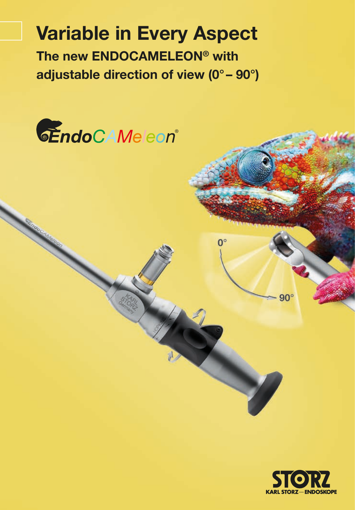# **Variable in Every Aspect The new ENDOCAMELEON® with adjustable direction of view (0° – 90°)**

 $0^{\circ}$ 



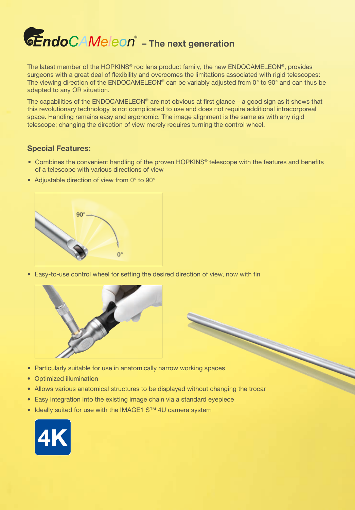

The latest member of the HOPKINS® rod lens product family, the new ENDOCAMELEON®, provides surgeons with a great deal of flexibility and overcomes the limitations associated with rigid telescopes: The viewing direction of the ENDOCAMELEON® can be variably adjusted from 0° to 90° and can thus be adapted to any OR situation.

The capabilities of the ENDOCAMELEON® are not obvious at first glance – a good sign as it shows that this revolutionary technology is not complicated to use and does not require additional intracorporeal space. Handling remains easy and ergonomic. The image alignment is the same as with any rigid telescope; changing the direction of view merely requires turning the control wheel.

### **Special Features:**

• Combines the convenient handling of the proven HOPKINS® telescope with the features and benefits of a telescope with various directions of view

N

• Adjustable direction of view from 0° to 90°



• Easy-to-use control wheel for setting the desired direction of view, now with fin



- Particularly suitable for use in anatomically narrow working spaces
- Optimized illumination
- Allows various anatomical structures to be displayed without changing the trocar
- Easy integration into the existing image chain via a standard eyepiece
- Ideally suited for use with the IMAGE1 S™ 4U camera system

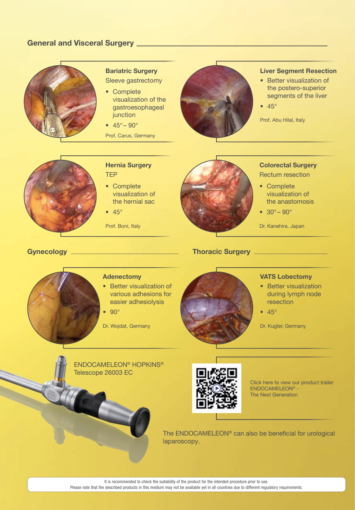### **General and Visceral Surgery**



### **Bariatric Surgery** Sleeve gastrectomy

- Complete visualization of the gastroesophageal junction
- $45^{\circ} 90^{\circ}$
- Prof. Carus, Germany



<u> 1999 - Alban III, politik pozitivn</u>

### **Liver Segment Resection**

- Better visualization of the postero-superior segments of the liver
- $45°$

Prof. Abu Hilal, Italy



### **Hernia Surgery** TEP

- Complete visualization of the hernial sac
- $45°$

Prof. Boni, Italy

## **Colorectal Surgery**

Rectum resection

- Complete visualization of the anastomosis
- $30^{\circ} 90^{\circ}$

Dr. Kanehira, Japan

### **Gynecology Thoracic Surgery**

### **Adenectomy**

• Better visualization of various adhesions for easier adhesiolysis

• 90°

Dr. Wojdat, Germany



### **VATS Lobectomy**

- Better visualization during lymph node resection
- 45°

Dr. Kugler, Germany





Click here to view our product trailer ENDOCAMELEON® - The Next Generation

The ENDOCAMELEON® can also be beneficial for urological laparoscopy.

It is recommended to check the suitability of the product for the intended procedure prior to use.

Please note that the described products in this medium may not be available yet in all countries due to different regulatory requirements.